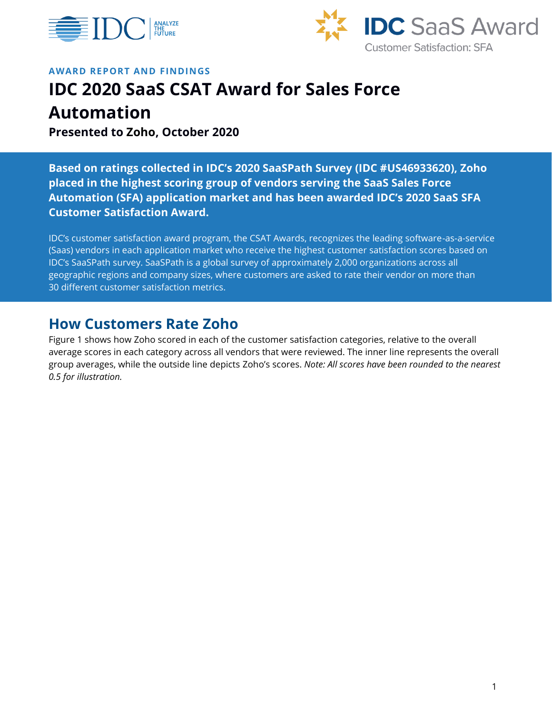



#### **AWARD REPORT AND FINDINGS**

# **IDC 2020 SaaS CSAT Award for Sales Force**

**Automation**

**Presented to Zoho, October 2020**

**Based on ratings collected in IDC's 2020 SaaSPath Survey (IDC #US46933620), Zoho placed in the highest scoring group of vendors serving the SaaS Sales Force Automation (SFA) application market and has been awarded IDC's 2020 SaaS SFA Customer Satisfaction Award.**

IDC's customer satisfaction award program, the CSAT Awards, recognizes the leading software-as-a-service (Saas) vendors in each application market who receive the highest customer satisfaction scores based on IDC's SaaSPath survey. SaaSPath is a global survey of approximately 2,000 organizations across all geographic regions and company sizes, where customers are asked to rate their vendor on more than 30 different customer satisfaction metrics.

### **How Customers Rate Zoho**

Figure 1 shows how Zoho scored in each of the customer satisfaction categories, relative to the overall average scores in each category across all vendors that were reviewed. The inner line represents the overall group averages, while the outside line depicts Zoho's scores. *Note: All scores have been rounded to the nearest 0.5 for illustration.*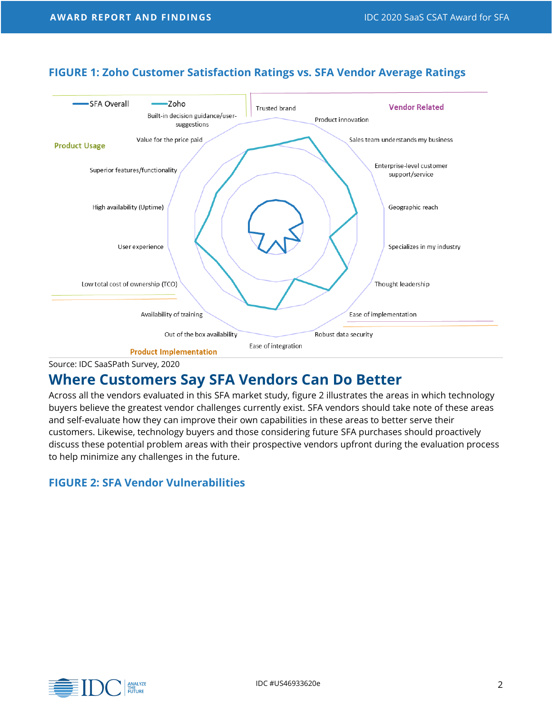

### **FIGURE 1: Zoho Customer Satisfaction Ratings vs. SFA Vendor Average Ratings**

**Product Implementation** 

Source: IDC SaaSPath Survey, 2020

## **Where Customers Say SFA Vendors Can Do Better**

Across all the vendors evaluated in this SFA market study, figure 2 illustrates the areas in which technology buyers believe the greatest vendor challenges currently exist. SFA vendors should take note of these areas and self-evaluate how they can improve their own capabilities in these areas to better serve their customers. Likewise, technology buyers and those considering future SFA purchases should proactively discuss these potential problem areas with their prospective vendors upfront during the evaluation process to help minimize any challenges in the future.

### **FIGURE 2: SFA Vendor Vulnerabilities**

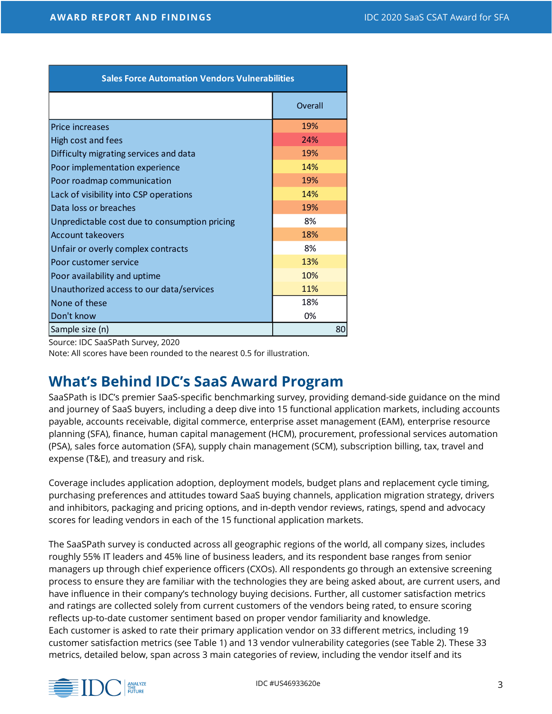| <b>Sales Force Automation Vendors Vulnerabilities</b> |         |
|-------------------------------------------------------|---------|
|                                                       | Overall |
| Price increases                                       | 19%     |
| High cost and fees                                    | 24%     |
| Difficulty migrating services and data                | 19%     |
| Poor implementation experience                        | 14%     |
| Poor roadmap communication                            | 19%     |
| Lack of visibility into CSP operations                | 14%     |
| Data loss or breaches                                 | 19%     |
| Unpredictable cost due to consumption pricing         | 8%      |
| <b>Account takeovers</b>                              | 18%     |
| Unfair or overly complex contracts                    | 8%      |
| Poor customer service                                 | 13%     |
| Poor availability and uptime                          | 10%     |
| Unauthorized access to our data/services              | 11%     |
| None of these                                         | 18%     |
| Don't know                                            | 0%      |
| Sample size (n)                                       | 80      |

Source: IDC SaaSPath Survey, 2020

Note: All scores have been rounded to the nearest 0.5 for illustration.

## **What's Behind IDC's SaaS Award Program**

SaaSPath is IDC's premier SaaS-specific benchmarking survey, providing demand-side guidance on the mind and journey of SaaS buyers, including a deep dive into 15 functional application markets, including accounts payable, accounts receivable, digital commerce, enterprise asset management (EAM), enterprise resource planning (SFA), finance, human capital management (HCM), procurement, professional services automation (PSA), sales force automation (SFA), supply chain management (SCM), subscription billing, tax, travel and expense (T&E), and treasury and risk.

Coverage includes application adoption, deployment models, budget plans and replacement cycle timing, purchasing preferences and attitudes toward SaaS buying channels, application migration strategy, drivers and inhibitors, packaging and pricing options, and in-depth vendor reviews, ratings, spend and advocacy scores for leading vendors in each of the 15 functional application markets.

The SaaSPath survey is conducted across all geographic regions of the world, all company sizes, includes roughly 55% IT leaders and 45% line of business leaders, and its respondent base ranges from senior managers up through chief experience officers (CXOs). All respondents go through an extensive screening process to ensure they are familiar with the technologies they are being asked about, are current users, and have influence in their company's technology buying decisions. Further, all customer satisfaction metrics and ratings are collected solely from current customers of the vendors being rated, to ensure scoring reflects up-to-date customer sentiment based on proper vendor familiarity and knowledge. Each customer is asked to rate their primary application vendor on 33 different metrics, including 19 customer satisfaction metrics (see Table 1) and 13 vendor vulnerability categories (see Table 2). These 33 metrics, detailed below, span across 3 main categories of review, including the vendor itself and its

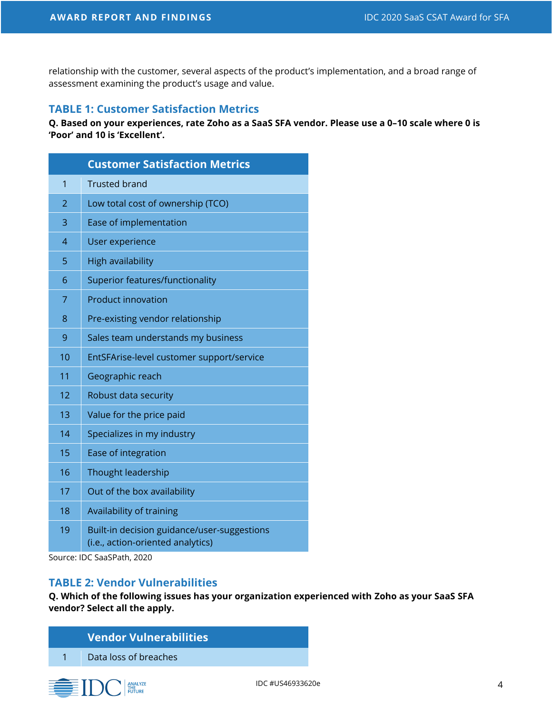relationship with the customer, several aspects of the product's implementation, and a broad range of assessment examining the product's usage and value.

#### **TABLE 1: Customer Satisfaction Metrics**

**Q. Based on your experiences, rate Zoho as a SaaS SFA vendor. Please use a 0–10 scale where 0 is 'Poor' and 10 is 'Excellent'.**

| <b>Customer Satisfaction Metrics</b> |                                                                                  |  |
|--------------------------------------|----------------------------------------------------------------------------------|--|
| $\overline{1}$                       | <b>Trusted brand</b>                                                             |  |
| $\overline{2}$                       | Low total cost of ownership (TCO)                                                |  |
| 3                                    | Ease of implementation                                                           |  |
| $\overline{4}$                       | User experience                                                                  |  |
| 5                                    | <b>High availability</b>                                                         |  |
| 6                                    | Superior features/functionality                                                  |  |
| 7                                    | <b>Product innovation</b>                                                        |  |
| 8                                    | Pre-existing vendor relationship                                                 |  |
| 9                                    | Sales team understands my business                                               |  |
| 10                                   | EntSFArise-level customer support/service                                        |  |
| 11                                   | Geographic reach                                                                 |  |
| 12                                   | Robust data security                                                             |  |
| 13                                   | Value for the price paid                                                         |  |
| 14                                   | Specializes in my industry                                                       |  |
| 15                                   | Ease of integration                                                              |  |
| 16                                   | Thought leadership                                                               |  |
| 17                                   | Out of the box availability                                                      |  |
| 18                                   | Availability of training                                                         |  |
| 19                                   | Built-in decision guidance/user-suggestions<br>(i.e., action-oriented analytics) |  |

Source: IDC SaaSPath, 2020

#### **TABLE 2: Vendor Vulnerabilities**

**Q. Which of the following issues has your organization experienced with Zoho as your SaaS SFA vendor? Select all the apply.**

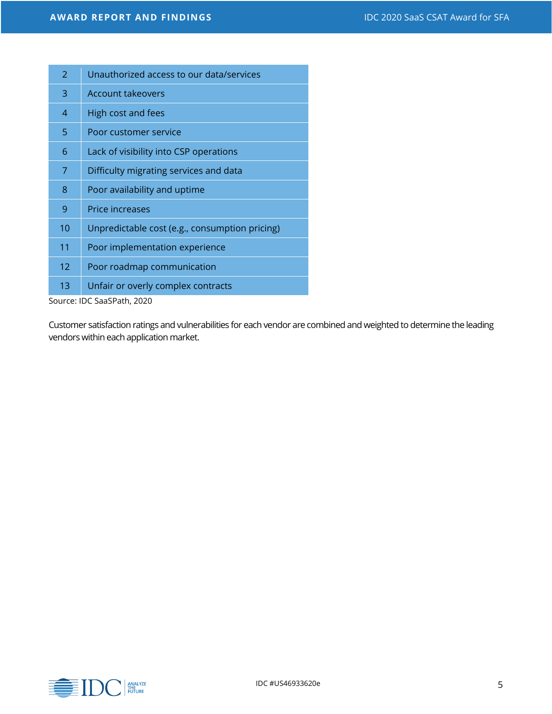| Unauthorized access to our data/services       |
|------------------------------------------------|
| <b>Account takeovers</b>                       |
| High cost and fees                             |
| Poor customer service                          |
| Lack of visibility into CSP operations         |
| Difficulty migrating services and data         |
| Poor availability and uptime                   |
| <b>Price increases</b>                         |
| Unpredictable cost (e.g., consumption pricing) |
| Poor implementation experience                 |
| Poor roadmap communication                     |
| Unfair or overly complex contracts             |
|                                                |

Source: IDC SaaSPath, 2020

Customer satisfaction ratings and vulnerabilities for each vendor are combined and weighted to determine the leading vendors within each application market.